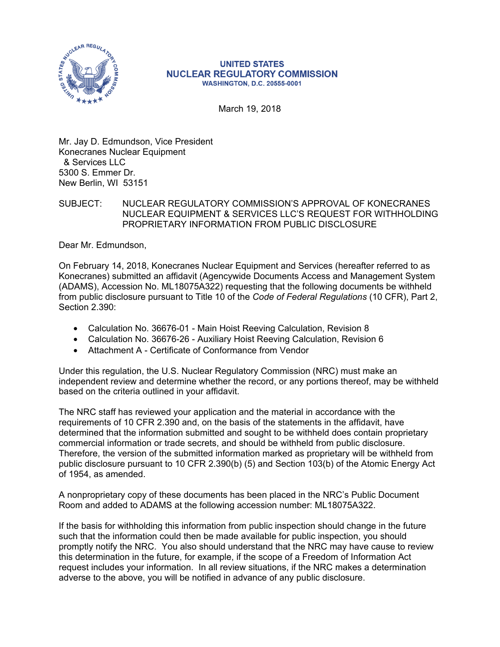

## **UNITED STATES NUCLEAR REGULATORY COMMISSION WASHINGTON, D.C. 20555-0001**

March 19, 2018

Mr. Jay D. Edmundson, Vice President Konecranes Nuclear Equipment & Services LLC 5300 S. Emmer Dr. New Berlin, WI 53151

## SUBJECT: NUCLEAR REGULATORY COMMISSION'S APPROVAL OF KONECRANES NUCLEAR EQUIPMENT & SERVICES LLC'S REQUEST FOR WITHHOLDING PROPRIETARY INFORMATION FROM PUBLIC DISCLOSURE

Dear Mr. Edmundson,

On February 14, 2018, Konecranes Nuclear Equipment and Services (hereafter referred to as Konecranes) submitted an affidavit (Agencywide Documents Access and Management System (ADAMS), Accession No. ML18075A322) requesting that the following documents be withheld from public disclosure pursuant to Title 10 of the *Code of Federal Regulations* (10 CFR), Part 2, Section 2.390:

- Calculation No. 36676-01 Main Hoist Reeving Calculation, Revision 8
- Calculation No. 36676-26 Auxiliary Hoist Reeving Calculation, Revision 6
- Attachment A Certificate of Conformance from Vendor

Under this regulation, the U.S. Nuclear Regulatory Commission (NRC) must make an independent review and determine whether the record, or any portions thereof, may be withheld based on the criteria outlined in your affidavit.

The NRC staff has reviewed your application and the material in accordance with the requirements of 10 CFR 2.390 and, on the basis of the statements in the affidavit, have determined that the information submitted and sought to be withheld does contain proprietary commercial information or trade secrets, and should be withheld from public disclosure. Therefore, the version of the submitted information marked as proprietary will be withheld from public disclosure pursuant to 10 CFR 2.390(b) (5) and Section 103(b) of the Atomic Energy Act of 1954, as amended.

A nonproprietary copy of these documents has been placed in the NRC's Public Document Room and added to ADAMS at the following accession number: ML18075A322.

If the basis for withholding this information from public inspection should change in the future such that the information could then be made available for public inspection, you should promptly notify the NRC. You also should understand that the NRC may have cause to review this determination in the future, for example, if the scope of a Freedom of Information Act request includes your information. In all review situations, if the NRC makes a determination adverse to the above, you will be notified in advance of any public disclosure.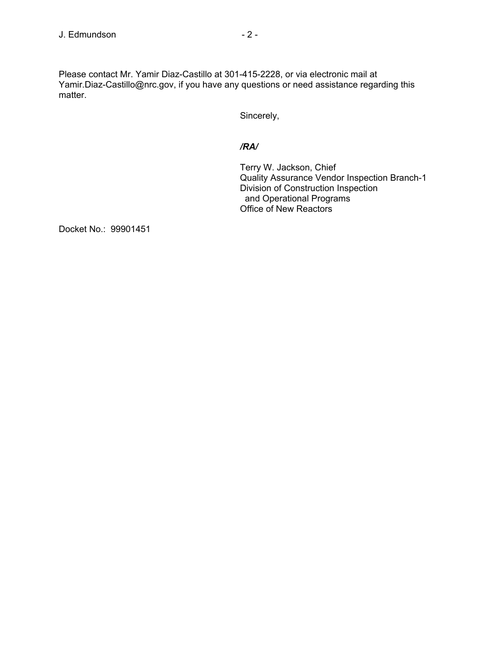Please contact Mr. Yamir Diaz-Castillo at 301-415-2228, or via electronic mail at Yamir.Diaz-Castillo@nrc.gov, if you have any questions or need assistance regarding this matter.

Sincerely,

## */RA/*

Terry W. Jackson, Chief Quality Assurance Vendor Inspection Branch-1 Division of Construction Inspection and Operational Programs Office of New Reactors

Docket No.: 99901451